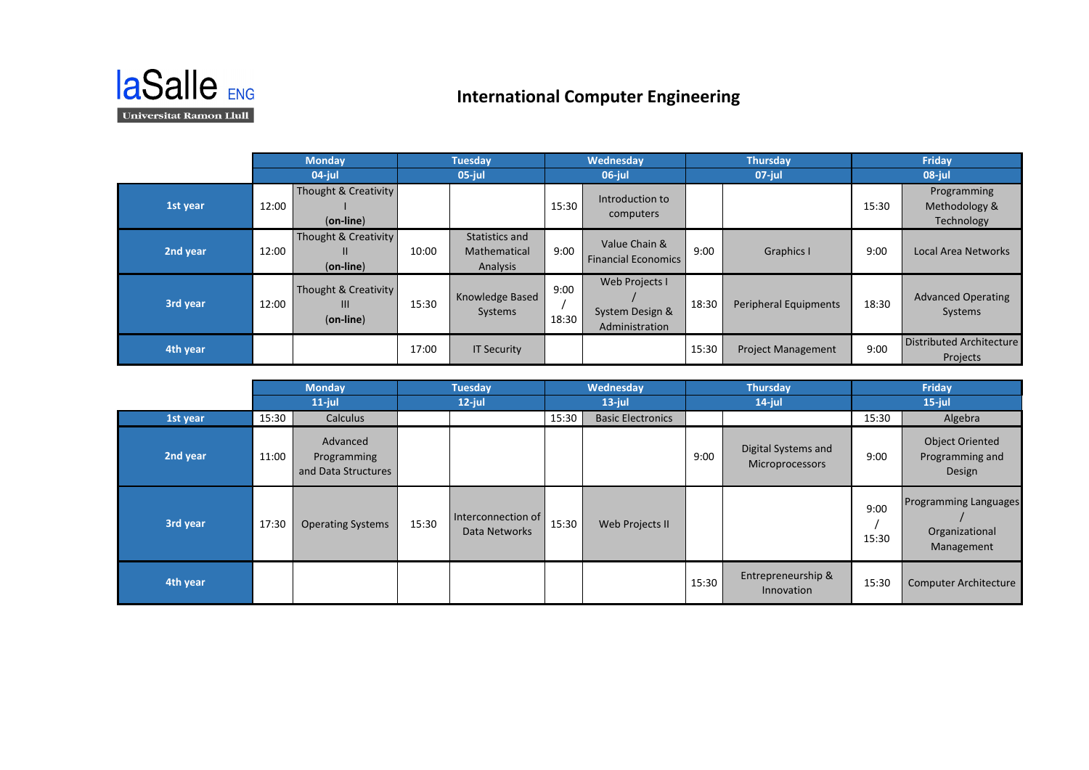

## **International Computer Engineering**

|          | <b>Monday</b><br>$04$ -jul |                                           | <b>Tuesday</b> |                                            | Wednesday     |                                                     | <b>Thursday</b> |                           | Friday |                                             |
|----------|----------------------------|-------------------------------------------|----------------|--------------------------------------------|---------------|-----------------------------------------------------|-----------------|---------------------------|--------|---------------------------------------------|
|          |                            |                                           | $05$ -jul      |                                            | 06-jul        |                                                     | $07$ -jul       |                           | 08-jul |                                             |
| 1st year | 12:00                      | Thought & Creativity<br>$(on$ -line)      |                |                                            | 15:30         | Introduction to<br>computers                        |                 |                           | 15:30  | Programming<br>Methodology &<br>Technology  |
| 2nd year | 12:00                      | Thought & Creativity<br>Ш<br>$(on-line)$  | 10:00          | Statistics and<br>Mathematical<br>Analysis | 9:00          | Value Chain &<br><b>Financial Economics</b>         | 9:00            | <b>Graphics I</b>         | 9:00   | Local Area Networks                         |
| 3rd year | 12:00                      | Thought & Creativity<br>Ш<br>$(on$ -line) | 15:30          | Knowledge Based<br>Systems                 | 9:00<br>18:30 | Web Projects I<br>System Design &<br>Administration | 18:30           | Peripheral Equipments     | 18:30  | <b>Advanced Operating</b><br>Systems        |
| 4th year |                            |                                           | 17:00          | <b>IT Security</b>                         |               |                                                     | 15:30           | <b>Project Management</b> | 9:00   | <b>Distributed Architecture</b><br>Projects |

|          | <b>Monday</b> |                                                | <b>Tuesday</b> |                                     |           | <b>Wednesday</b>         | <b>Thursday</b> |                                        | Friday        |                                                              |
|----------|---------------|------------------------------------------------|----------------|-------------------------------------|-----------|--------------------------|-----------------|----------------------------------------|---------------|--------------------------------------------------------------|
|          | $11$ -jul     |                                                | $12$ -jul      |                                     | $13$ -jul |                          | $14$ -jul       |                                        | $15$ -jul     |                                                              |
| 1st year | 15:30         | Calculus                                       |                |                                     | 15:30     | <b>Basic Electronics</b> |                 |                                        | 15:30         | Algebra                                                      |
| 2nd year | 11:00         | Advanced<br>Programming<br>and Data Structures |                |                                     |           |                          | 9:00            | Digital Systems and<br>Microprocessors | 9:00          | <b>Object Oriented</b><br>Programming and<br>Design          |
| 3rd year | 17:30         | <b>Operating Systems</b>                       | 15:30          | Interconnection of<br>Data Networks | 15:30     | Web Projects II          |                 |                                        | 9:00<br>15:30 | <b>Programming Languages</b><br>Organizational<br>Management |
| 4th year |               |                                                |                |                                     |           |                          | 15:30           | Entrepreneurship &<br>Innovation       | 15:30         | Computer Architecture                                        |